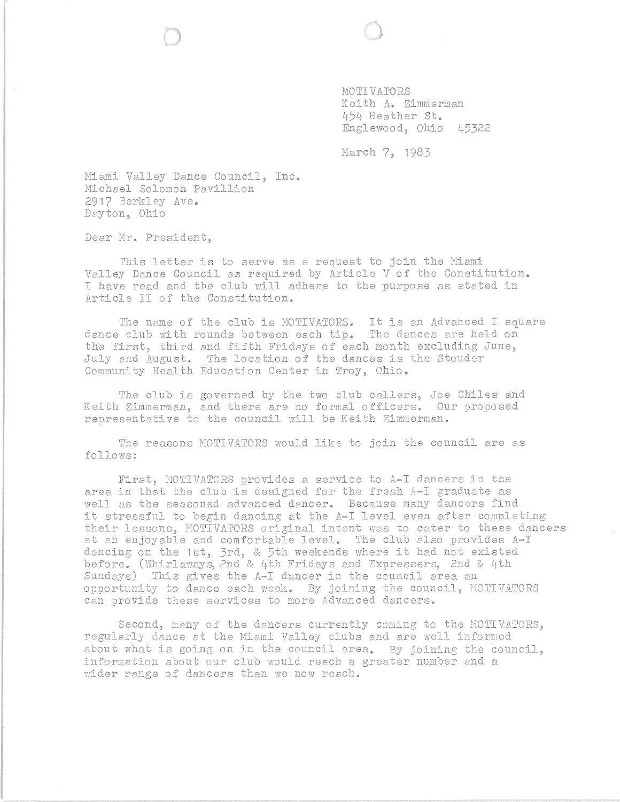MOTIVATORS Kei th **A.** Zimmerman 454 Heather **st.**  Englewood, Ohio 45322

March 7, 1983

Miami Valley Dance Council, Inc. Michael Solomon Pavillion 2917 Berkley Ave. Dayton, Ohio

Dear Mr. President,

This letter is to serve as a request to join the Miami Valley Dance Council as required by Article V of the Constitution. I have read and the club will adhere to the purpose as stated in Article II of the Constitution.

The name of the club is MOTIVATORS. It is an Advanced I square dance club with rounds between each tip. The dances are held on the first, third and fifth Fridays of each month excluding June, July and August. The location of the dances is the Stouder Community Health EdUcation Center in Troy, Ohio.

The club is governed by the two club callers, *Joe* Chiles and Keith Zimmerman, and there are no formal officers. Our proposed representative to the council will be Keith Zimmerman.

The reasons MOTIVATORS would like to join the council are as follows:

First, MOTIVATORS provides a service to A-I dancers in the area in that the club is designed for the fresh A-I graduate as well as the seasoned advanced dancer. Because many dancers find it stressful to begin dancing at the A-I level even after completing their lessons, MOTIVATORS original intent was to cater to these dancers at an enjoyable and comfortable level. 'Ihe club also provides A-I dancing on the 1st, 3rd, & 5th weekends where it had not existed before. (Whirlaways, 2nd & 4th Fridays and Expressers, 2nd & 4th Sundays) This gives the A-I dancer in the council area an opportunity to dance each week. By joining the council, MOTIVATORS can provide these services to more Advanced dancers.

Second, many of the dancers currently coming to the MOTIVATORS, regularly dance at the Niemi Valley clubs and are well informed about what is going on in the council area. By joining the council, information about our club would reach a greater number and a wider range of dancers them we now reach.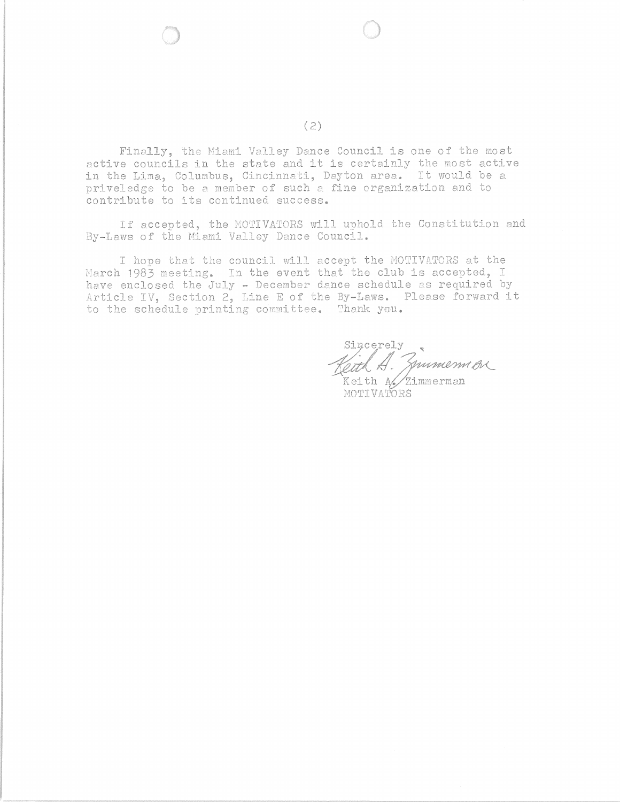Finally, the Miami Valley Dance Council is one of the most active councils in the state and it is certainly the most active in the Lima, Columbus, Cincinnati, Dayton area. It would be a priveledge to be a member of such a fine organization and to contribute to its continued success.

If accepted, the MOTIVATORS will uphold the Constitution and By-Laws of the Miami Valley Dance Council.

I hope that the council will accept the MOTIVATORS at the March 1983 meeting. In the event that the club is accepted, I have enclosed the July - December dance schedule as required by Article IV, Section 2, Line E of the By-Laws. Please forward it to the schedule printing committee. Thank you.

sincerely<br>eatled. Junnemmon Keith A/Zimmerman HOTIVATORS

(2)